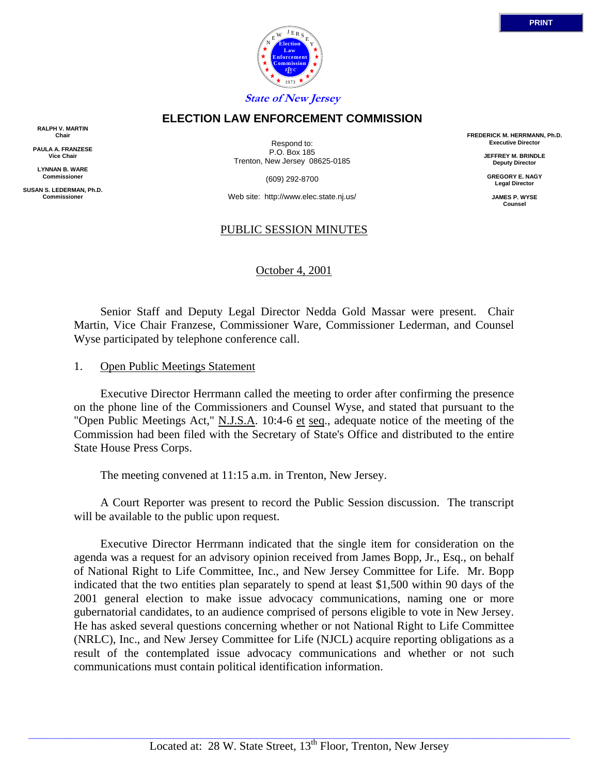

**ELECTION LAW ENFORCEMENT COMMISSION**

**RALPH V. MARTIN Chair**

**PAULA A. FRANZESE Vice Chair**

**LYNNAN B. WARE Commissioner**

**SUSAN S. LEDERMAN, Ph.D. Commissioner**

Respond to: P.O. Box 185 Trenton, New Jersey 08625-0185

(609) 292-8700

Web site: http://www.elec.state.nj.us/

## PUBLIC SESSION MINUTES

October 4, 2001

 Senior Staff and Deputy Legal Director Nedda Gold Massar were present. Chair Martin, Vice Chair Franzese, Commissioner Ware, Commissioner Lederman, and Counsel Wyse participated by telephone conference call.

#### 1. Open Public Meetings Statement

 Executive Director Herrmann called the meeting to order after confirming the presence on the phone line of the Commissioners and Counsel Wyse, and stated that pursuant to the "Open Public Meetings Act," N.J.S.A. 10:4-6 et seq., adequate notice of the meeting of the Commission had been filed with the Secretary of State's Office and distributed to the entire State House Press Corps.

The meeting convened at 11:15 a.m. in Trenton, New Jersey.

 A Court Reporter was present to record the Public Session discussion. The transcript will be available to the public upon request.

 Executive Director Herrmann indicated that the single item for consideration on the agenda was a request for an advisory opinion received from James Bopp, Jr., Esq., on behalf of National Right to Life Committee, Inc., and New Jersey Committee for Life. Mr. Bopp indicated that the two entities plan separately to spend at least \$1,500 within 90 days of the 2001 general election to make issue advocacy communications, naming one or more gubernatorial candidates, to an audience comprised of persons eligible to vote in New Jersey. He has asked several questions concerning whether or not National Right to Life Committee (NRLC), Inc., and New Jersey Committee for Life (NJCL) acquire reporting obligations as a result of the contemplated issue advocacy communications and whether or not such communications must contain political identification information.

**FREDERICK M. HERRMANN, Ph.D. Executive Director**

> **JEFFREY M. BRINDLE Deputy Director**

**GREGORY E. NAGY Legal Director**

**JAMES P. WYSE Counsel**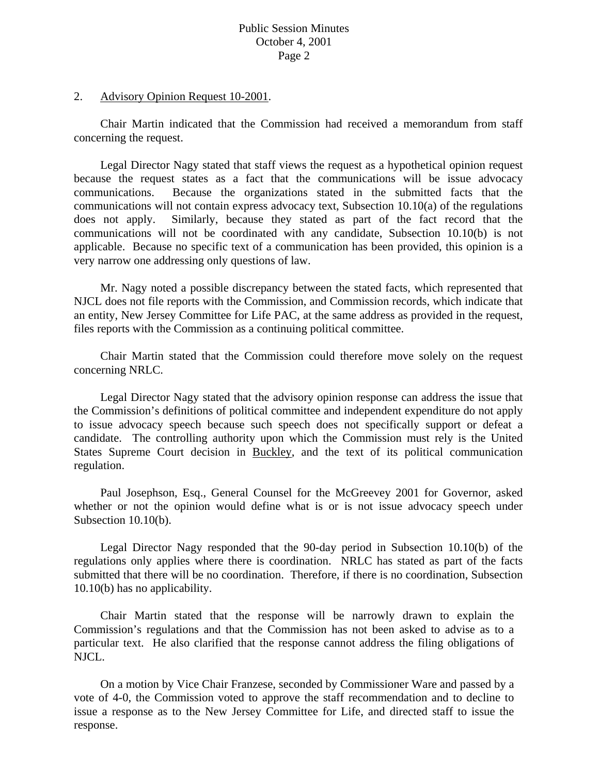## Public Session Minutes October 4, 2001 Page 2

### 2. Advisory Opinion Request 10-2001.

Chair Martin indicated that the Commission had received a memorandum from staff concerning the request.

Legal Director Nagy stated that staff views the request as a hypothetical opinion request because the request states as a fact that the communications will be issue advocacy communications. Because the organizations stated in the submitted facts that the communications will not contain express advocacy text, Subsection 10.10(a) of the regulations does not apply. Similarly, because they stated as part of the fact record that the communications will not be coordinated with any candidate, Subsection 10.10(b) is not applicable. Because no specific text of a communication has been provided, this opinion is a very narrow one addressing only questions of law.

Mr. Nagy noted a possible discrepancy between the stated facts, which represented that NJCL does not file reports with the Commission, and Commission records, which indicate that an entity, New Jersey Committee for Life PAC, at the same address as provided in the request, files reports with the Commission as a continuing political committee.

Chair Martin stated that the Commission could therefore move solely on the request concerning NRLC.

Legal Director Nagy stated that the advisory opinion response can address the issue that the Commission's definitions of political committee and independent expenditure do not apply to issue advocacy speech because such speech does not specifically support or defeat a candidate. The controlling authority upon which the Commission must rely is the United States Supreme Court decision in Buckley, and the text of its political communication regulation.

 Paul Josephson, Esq., General Counsel for the McGreevey 2001 for Governor, asked whether or not the opinion would define what is or is not issue advocacy speech under Subsection 10.10(b).

 Legal Director Nagy responded that the 90-day period in Subsection 10.10(b) of the regulations only applies where there is coordination. NRLC has stated as part of the facts submitted that there will be no coordination. Therefore, if there is no coordination, Subsection 10.10(b) has no applicability.

 Chair Martin stated that the response will be narrowly drawn to explain the Commission's regulations and that the Commission has not been asked to advise as to a particular text. He also clarified that the response cannot address the filing obligations of NJCL.

 On a motion by Vice Chair Franzese, seconded by Commissioner Ware and passed by a vote of 4-0, the Commission voted to approve the staff recommendation and to decline to issue a response as to the New Jersey Committee for Life, and directed staff to issue the response.